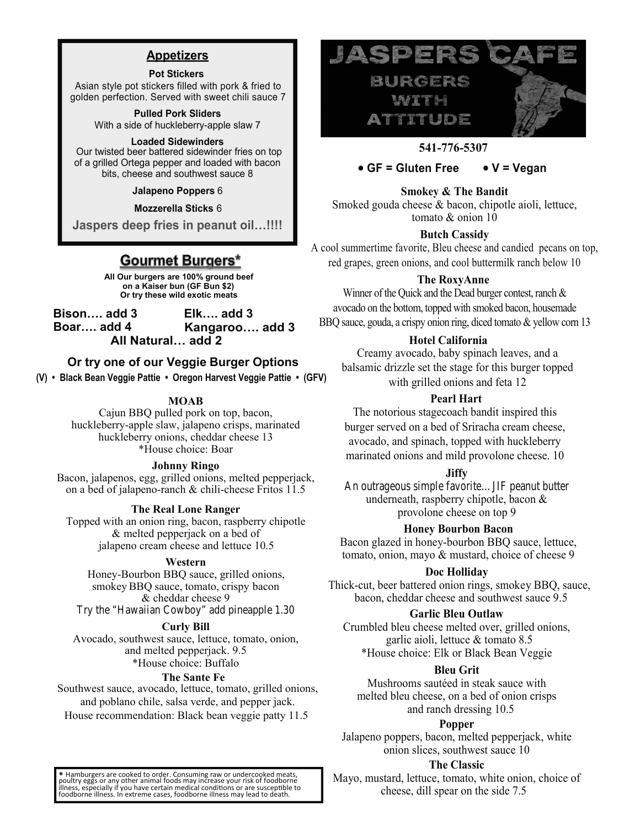# **Appetizers**

### **Pot Stickers**

Asian style pot stickers filled with pork & fried to golden perfection. Served with sweet chili sauce 7

> **Pulled Pork Sliders** With a side of huckleberry -apple slaw 7

### **Loaded Sidewinders**

Our twisted beer battered sidewinder fries on top of a grilled Ortega pepper and loaded with bacon bits, cheese and southwest sauce 8

**Jalapeno Poppers** 6

**Mozzerella Sticks** 6

**Jaspers deep fries in peanut oil…!!!!**

# **Gourmet Burgers\***

**All Our burgers are 100% ground beef on a Kaiser bun (GF Bun \$2) Or try these wild exotic meats** 

**Bison…. add 3 Elk…. add 3 Boar…. add 4 Kangaroo…. add 3 All Natural… add 2**

# **Or try one of our Veggie Burger Options**

**(V) • Black Bean Veggie Pattie • Oregon Harvest Veggie Pattie • (GFV)**

## **MOAB**

Cajun BBQ pulled pork on top, bacon, huckleberry-apple slaw, jalapeno crisps, marinated huckleberry onions, cheddar cheese 13 \*House choice: Boar

## **Johnny Ringo**

Bacon, jalapenos, egg, grilled onions, melted pepperjack, on a bed of jalapeno-ranch & chili-cheese Fritos 11.5

## **The Real Lone Ranger**

Topped with an onion ring, bacon, raspberry chipotle & melted pepperjack on a bed of jalapeno cream cheese and lettuce 10.5

## **Western**

Honey-Bourbon BBQ sauce, grilled onions, smokey BBQ sauce, tomato, crispy bacon & cheddar cheese 9 Try the "Hawaiian Cowboy" add pineapple 1.30

# **Curly Bill**

Avocado, southwest sauce, l ettuce, tomato, onion, and melted pepperjack. 9.5 \*House choice: Buffalo

## **The Sante Fe**

Southwest sauce, avocado, lettuce, tomato, grilled onions, and poblano chile, salsa verde, and pepper jack. House recommendation: Black bean veggie patty 11.5



# **541-776-5307**

## **• GF = Gluten Free • V = Vegan**

## **Smokey & The Bandit**

Smoked gouda cheese & bacon, chipotle aioli, lettuce, tomato & onion 10

## **Butch Cassidy**

A cool summertime favorite, Bleu cheese and candied pecans on top, red grapes, green onions, and cool buttermilk ranch below 10

## **The RoxyAnne**

Winner of the Quick and the Dead burger contest, ranch & avocado on the bottom, topped with smoked bacon, housemade BBQ sauce, gouda, a crispy onion ring, diced tomato & yellow corn 13

## **Hotel California**

Creamy avocado, baby spinach leaves, and a balsamic drizzle set the stage for this burger topped with grilled onions and feta 12

## **Pearl Hart**

The notorious stagecoach bandit inspired this burger served on a bed of Sriracha cream cheese, avocado, and spinach, topped with huckleberry marinated onions and mild provolone cheese. 10

## **Jiffy**

An outrageous simple favorite…JIF peanut butter underneath, raspberry chipotle, bacon & provolone cheese on top 9

## **Honey Bourbon Bacon**

Bacon glazed in honey-bourbon BBQ sauce, lettuce, tomato, onion, mayo & mustard, choice of cheese 9

## **Doc Holliday**

Thick-cut, beer battered onion rings, smokey BBQ, sauce, bacon, cheddar cheese and southwest sauce 9.5

## **Garlic Bleu Outlaw**

Crumbled bleu cheese melted over, grilled onions, garlic aioli, lettuce & tomato 8.5 \*House choice: Elk or Black Bean Veggie

## **Bleu Grit**

Mushrooms sautéed in steak sauce with melted bleu cheese, on a bed of onion crisps and ranch dressing 10.5

## **Popper**

Jalapeno poppers, bacon, melted pepperjack, white onion slices, southwest sauce 10

## **The Classic**

Mayo, mustard, lettuce, tomato, white onion, choice of cheese, dill spear on the side 7.5

\* Hamburgers are cooked to order. Consuming raw or undercooked meats, poultry eggs or any other animal foods may<br>illness, especially if you have certain medial conditions or are susceptible illness, especially if you have